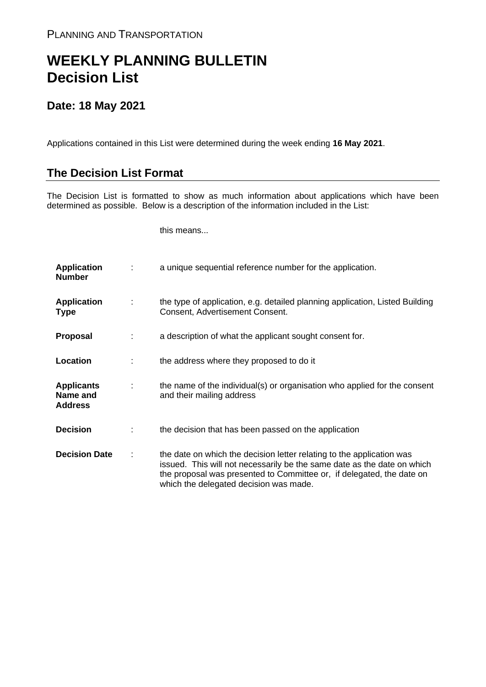## **WEEKLY PLANNING BULLETIN Decision List**

## **Date: 18 May 2021**

Applications contained in this List were determined during the week ending **16 May 2021**.

## **The Decision List Format**

The Decision List is formatted to show as much information about applications which have been determined as possible. Below is a description of the information included in the List:

this means...

| <b>Application</b><br><b>Number</b>             |   | a unique sequential reference number for the application.                                                                                                                                                                                                           |
|-------------------------------------------------|---|---------------------------------------------------------------------------------------------------------------------------------------------------------------------------------------------------------------------------------------------------------------------|
| <b>Application</b><br><b>Type</b>               | ÷ | the type of application, e.g. detailed planning application, Listed Building<br>Consent, Advertisement Consent.                                                                                                                                                     |
| <b>Proposal</b>                                 |   | a description of what the applicant sought consent for.                                                                                                                                                                                                             |
| Location                                        |   | the address where they proposed to do it                                                                                                                                                                                                                            |
| <b>Applicants</b><br>Name and<br><b>Address</b> | ÷ | the name of the individual(s) or organisation who applied for the consent<br>and their mailing address                                                                                                                                                              |
| <b>Decision</b>                                 |   | the decision that has been passed on the application                                                                                                                                                                                                                |
| <b>Decision Date</b>                            |   | the date on which the decision letter relating to the application was<br>issued. This will not necessarily be the same date as the date on which<br>the proposal was presented to Committee or, if delegated, the date on<br>which the delegated decision was made. |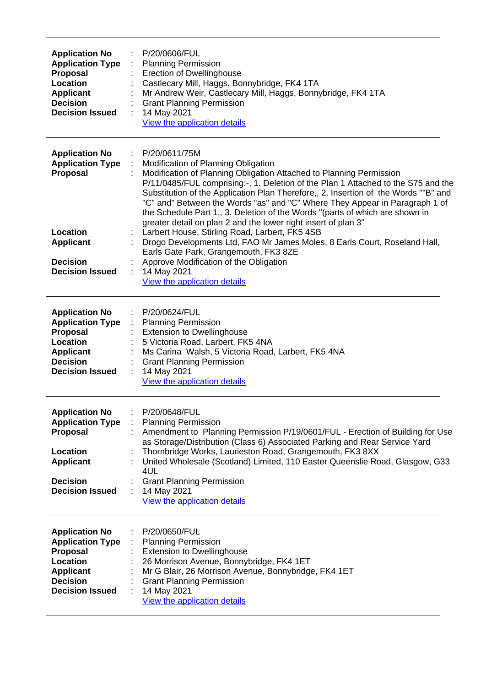| <b>Application No</b><br><b>Application Type</b><br>Proposal<br>Location<br><b>Applicant</b><br><b>Decision</b><br><b>Decision Issued</b>        | P/20/0606/FUL<br><b>Planning Permission</b><br><b>Erection of Dwellinghouse</b><br>Castlecary Mill, Haggs, Bonnybridge, FK4 1TA<br>Mr Andrew Weir, Castlecary Mill, Haggs, Bonnybridge, FK4 1TA<br><b>Grant Planning Permission</b><br>14 May 2021<br>View the application details                                                                                                                                                                                                                                                                                                                                                                                                                                                                                                                             |
|--------------------------------------------------------------------------------------------------------------------------------------------------|----------------------------------------------------------------------------------------------------------------------------------------------------------------------------------------------------------------------------------------------------------------------------------------------------------------------------------------------------------------------------------------------------------------------------------------------------------------------------------------------------------------------------------------------------------------------------------------------------------------------------------------------------------------------------------------------------------------------------------------------------------------------------------------------------------------|
| <b>Application No</b><br><b>Application Type</b><br><b>Proposal</b><br>Location<br><b>Applicant</b><br><b>Decision</b><br><b>Decision Issued</b> | P/20/0611/75M<br>Modification of Planning Obligation<br>Modification of Planning Obligation Attached to Planning Permission<br>P/11/0485/FUL comprising:-, 1. Deletion of the Plan 1 Attached to the S75 and the<br>Substitution of the Application Plan Therefore,, 2. Insertion of the Words ""B" and<br>"C" and" Between the Words "as" and "C" Where They Appear in Paragraph 1 of<br>the Schedule Part 1,, 3. Deletion of the Words "(parts of which are shown in<br>greater detail on plan 2 and the lower right insert of plan 3"<br>Larbert House, Stirling Road, Larbert, FK5 4SB<br>Drogo Developments Ltd, FAO Mr James Moles, 8 Earls Court, Roseland Hall,<br>Earls Gate Park, Grangemouth, FK3 8ZE<br>Approve Modification of the Obligation<br>14 May 2021<br>÷<br>View the application details |
| <b>Application No</b><br><b>Application Type</b><br><b>Proposal</b><br>Location<br><b>Applicant</b><br><b>Decision</b><br><b>Decision Issued</b> | P/20/0624/FUL<br><b>Planning Permission</b><br><b>Extension to Dwellinghouse</b><br>5 Victoria Road, Larbert, FK5 4NA<br>Ms Carina Walsh, 5 Victoria Road, Larbert, FK5 4NA<br><b>Grant Planning Permission</b><br>14 May 2021<br>View the application details                                                                                                                                                                                                                                                                                                                                                                                                                                                                                                                                                 |
| <b>Application No</b><br><b>Application Type</b><br><b>Proposal</b><br>Location<br><b>Applicant</b><br><b>Decision</b><br><b>Decision Issued</b> | P/20/0648/FUL<br><b>Planning Permission</b><br>Amendment to Planning Permission P/19/0601/FUL - Erection of Building for Use<br>as Storage/Distribution (Class 6) Associated Parking and Rear Service Yard<br>Thornbridge Works, Laurieston Road, Grangemouth, FK3 8XX<br>United Wholesale (Scotland) Limited, 110 Easter Queenslie Road, Glasgow, G33<br>4UL<br><b>Grant Planning Permission</b><br>14 May 2021<br>View the application details                                                                                                                                                                                                                                                                                                                                                               |
| <b>Application No</b><br><b>Application Type</b><br><b>Proposal</b><br>Location<br><b>Applicant</b><br><b>Decision</b><br><b>Decision Issued</b> | P/20/0650/FUL<br><b>Planning Permission</b><br><b>Extension to Dwellinghouse</b><br>26 Morrison Avenue, Bonnybridge, FK4 1ET<br>Mr G Blair, 26 Morrison Avenue, Bonnybridge, FK4 1ET<br><b>Grant Planning Permission</b><br>14 May 2021<br>t<br>View the application details                                                                                                                                                                                                                                                                                                                                                                                                                                                                                                                                   |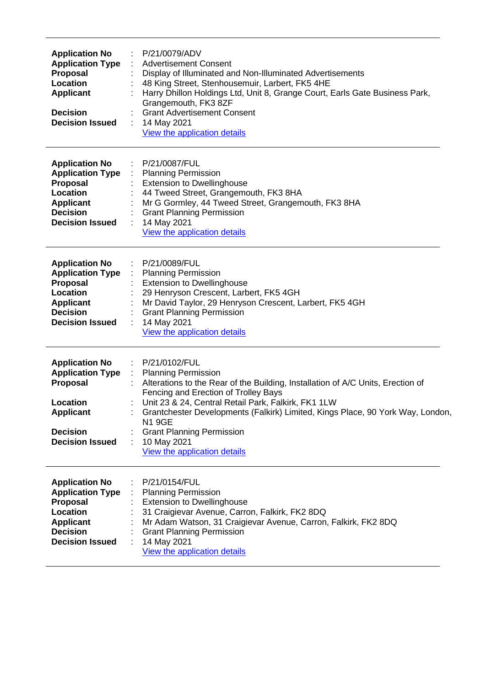| <b>Application No</b><br><b>Application Type</b><br>Proposal<br>Location<br><b>Applicant</b><br><b>Decision</b><br><b>Decision Issued</b>        | P/21/0079/ADV<br><b>Advertisement Consent</b><br>Display of Illuminated and Non-Illuminated Advertisements<br>48 King Street, Stenhousemuir, Larbert, FK5 4HE<br>Harry Dhillon Holdings Ltd, Unit 8, Grange Court, Earls Gate Business Park,<br>Grangemouth, FK3 8ZF<br><b>Grant Advertisement Consent</b><br>14 May 2021<br>÷<br>View the application details                                                        |
|--------------------------------------------------------------------------------------------------------------------------------------------------|-----------------------------------------------------------------------------------------------------------------------------------------------------------------------------------------------------------------------------------------------------------------------------------------------------------------------------------------------------------------------------------------------------------------------|
| <b>Application No</b><br><b>Application Type</b><br><b>Proposal</b><br>Location<br><b>Applicant</b><br><b>Decision</b><br><b>Decision Issued</b> | P/21/0087/FUL<br><b>Planning Permission</b><br><b>Extension to Dwellinghouse</b><br>44 Tweed Street, Grangemouth, FK3 8HA<br>Mr G Gormley, 44 Tweed Street, Grangemouth, FK3 8HA<br><b>Grant Planning Permission</b><br>14 May 2021<br>View the application details                                                                                                                                                   |
| <b>Application No</b><br><b>Application Type</b><br><b>Proposal</b><br>Location<br><b>Applicant</b><br><b>Decision</b><br><b>Decision Issued</b> | P/21/0089/FUL<br><b>Planning Permission</b><br><b>Extension to Dwellinghouse</b><br>29 Henryson Crescent, Larbert, FK5 4GH<br>Mr David Taylor, 29 Henryson Crescent, Larbert, FK5 4GH<br><b>Grant Planning Permission</b><br>14 May 2021<br>View the application details                                                                                                                                              |
| <b>Application No</b><br><b>Application Type</b><br><b>Proposal</b><br>Location<br><b>Applicant</b><br><b>Decision</b><br><b>Decision Issued</b> | : P/21/0102/FUL<br>: Planning Permission<br>Alterations to the Rear of the Building, Installation of A/C Units, Erection of<br>Fencing and Erection of Trolley Bays<br>Unit 23 & 24, Central Retail Park, Falkirk, FK1 1LW<br>Grantchester Developments (Falkirk) Limited, Kings Place, 90 York Way, London,<br><b>N1 9GE</b><br><b>Grant Planning Permission</b><br>10 May 2021<br>÷<br>View the application details |
| <b>Application No</b><br><b>Application Type</b><br><b>Proposal</b><br>Location<br><b>Applicant</b><br><b>Decision</b><br><b>Decision Issued</b> | P/21/0154/FUL<br><b>Planning Permission</b><br><b>Extension to Dwellinghouse</b><br>31 Craigievar Avenue, Carron, Falkirk, FK2 8DQ<br>Mr Adam Watson, 31 Craigievar Avenue, Carron, Falkirk, FK2 8DQ<br><b>Grant Planning Permission</b><br>14 May 2021<br>View the application details                                                                                                                               |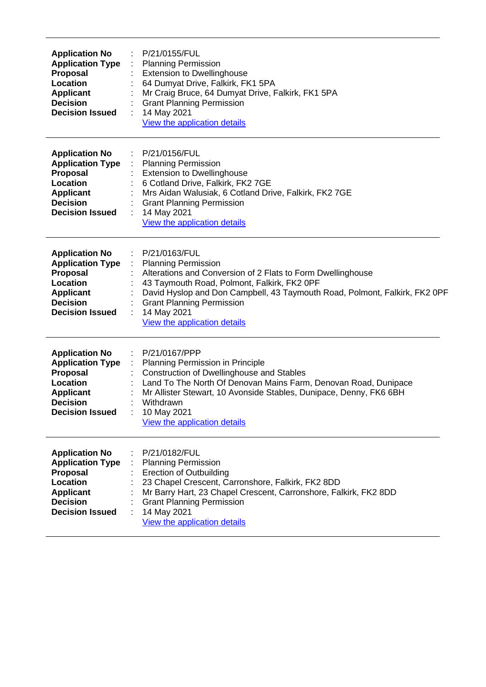| <b>Application No</b><br><b>Proposal</b><br>Location<br><b>Applicant</b><br><b>Decision</b>        | <b>Application Type</b><br><b>Decision Issued</b> | P/21/0155/FUL<br><b>Planning Permission</b><br><b>Extension to Dwellinghouse</b><br>64 Dumyat Drive, Falkirk, FK1 5PA<br>Mr Craig Bruce, 64 Dumyat Drive, Falkirk, FK1 5PA<br><b>Grant Planning Permission</b><br>14 May 2021<br>View the application details                                                              |
|----------------------------------------------------------------------------------------------------|---------------------------------------------------|----------------------------------------------------------------------------------------------------------------------------------------------------------------------------------------------------------------------------------------------------------------------------------------------------------------------------|
| <b>Application No</b><br><b>Proposal</b><br>Location<br><b>Applicant</b><br><b>Decision</b>        | <b>Application Type</b><br><b>Decision Issued</b> | P/21/0156/FUL<br>÷<br><b>Planning Permission</b><br><b>Extension to Dwellinghouse</b><br>6 Cotland Drive, Falkirk, FK2 7GE<br>Mrs Aidan Walusiak, 6 Cotland Drive, Falkirk, FK2 7GE<br><b>Grant Planning Permission</b><br>14 May 2021<br>View the application details                                                     |
| <b>Application No</b><br>Proposal<br><b>Location</b><br><b>Applicant</b><br><b>Decision</b>        | <b>Application Type</b><br><b>Decision Issued</b> | P/21/0163/FUL<br><b>Planning Permission</b><br>Alterations and Conversion of 2 Flats to Form Dwellinghouse<br>43 Taymouth Road, Polmont, Falkirk, FK2 0PF<br>David Hyslop and Don Campbell, 43 Taymouth Road, Polmont, Falkirk, FK2 0PF<br><b>Grant Planning Permission</b><br>14 May 2021<br>View the application details |
| <b>Application No</b><br><b>Proposal</b><br><b>Location</b><br><b>Applicant</b><br><b>Decision</b> | <b>Application Type</b><br><b>Decision Issued</b> | P/21/0167/PPP<br>Planning Permission in Principle<br>Construction of Dwellinghouse and Stables<br>Land To The North Of Denovan Mains Farm, Denovan Road, Dunipace<br>Mr Allister Stewart, 10 Avonside Stables, Dunipace, Denny, FK6 6BH<br>Withdrawn<br>10 May 2021<br>View the application details                        |
| <b>Application No</b><br>Proposal<br>Location<br><b>Applicant</b><br><b>Decision</b>               | <b>Application Type</b><br><b>Decision Issued</b> | P/21/0182/FUL<br><b>Planning Permission</b><br><b>Erection of Outbuilding</b><br>23 Chapel Crescent, Carronshore, Falkirk, FK2 8DD<br>Mr Barry Hart, 23 Chapel Crescent, Carronshore, Falkirk, FK2 8DD<br><b>Grant Planning Permission</b><br>14 May 2021<br>View the application details                                  |